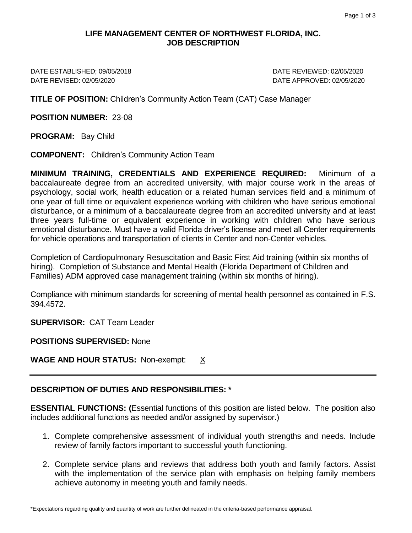## **LIFE MANAGEMENT CENTER OF NORTHWEST FLORIDA, INC. JOB DESCRIPTION**

DATE ESTABLISHED; 09/05/2018 DATE REVIEWED: 02/05/2020 DATE REVISED: 02/05/2020 DATE APPROVED: 02/05/2020

**TITLE OF POSITION:** Children's Community Action Team (CAT) Case Manager

**POSITION NUMBER:** 23-08

**PROGRAM:** Bay Child

**COMPONENT:** Children's Community Action Team

**MINIMUM TRAINING, CREDENTIALS AND EXPERIENCE REQUIRED:** Minimum of a baccalaureate degree from an accredited university, with major course work in the areas of psychology, social work, health education or a related human services field and a minimum of one year of full time or equivalent experience working with children who have serious emotional disturbance, or a minimum of a baccalaureate degree from an accredited university and at least three years full-time or equivalent experience in working with children who have serious emotional disturbance. Must have a valid Florida driver's license and meet all Center requirements for vehicle operations and transportation of clients in Center and non-Center vehicles.

Completion of Cardiopulmonary Resuscitation and Basic First Aid training (within six months of hiring). Completion of Substance and Mental Health (Florida Department of Children and Families) ADM approved case management training (within six months of hiring).

Compliance with minimum standards for screening of mental health personnel as contained in F.S. 394.4572.

**SUPERVISOR:** CAT Team Leader

**POSITIONS SUPERVISED:** None

**WAGE AND HOUR STATUS:** Non-exempt: X

## **DESCRIPTION OF DUTIES AND RESPONSIBILITIES: \***

**ESSENTIAL FUNCTIONS: (**Essential functions of this position are listed below. The position also includes additional functions as needed and/or assigned by supervisor.)

- 1. Complete comprehensive assessment of individual youth strengths and needs. Include review of family factors important to successful youth functioning.
- 2. Complete service plans and reviews that address both youth and family factors. Assist with the implementation of the service plan with emphasis on helping family members achieve autonomy in meeting youth and family needs.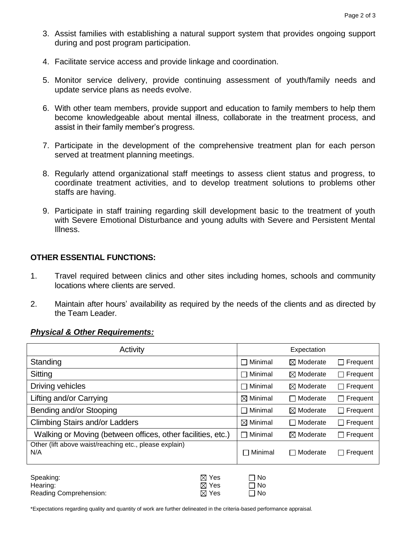- 3. Assist families with establishing a natural support system that provides ongoing support during and post program participation.
- 4. Facilitate service access and provide linkage and coordination.
- 5. Monitor service delivery, provide continuing assessment of youth/family needs and update service plans as needs evolve.
- 6. With other team members, provide support and education to family members to help them become knowledgeable about mental illness, collaborate in the treatment process, and assist in their family member's progress.
- 7. Participate in the development of the comprehensive treatment plan for each person served at treatment planning meetings.
- 8. Regularly attend organizational staff meetings to assess client status and progress, to coordinate treatment activities, and to develop treatment solutions to problems other staffs are having.
- 9. Participate in staff training regarding skill development basic to the treatment of youth with Severe Emotional Disturbance and young adults with Severe and Persistent Mental Illness.

## **OTHER ESSENTIAL FUNCTIONS:**

- 1. Travel required between clinics and other sites including homes, schools and community locations where clients are served.
- 2. Maintain after hours' availability as required by the needs of the clients and as directed by the Team Leader.

## *Physical & Other Requirements:*

| Activity                                                      |                                             | Expectation                      |                      |                          |
|---------------------------------------------------------------|---------------------------------------------|----------------------------------|----------------------|--------------------------|
| Standing                                                      |                                             | Minimal                          | $\boxtimes$ Moderate | Frequent<br>$\mathsf{L}$ |
| Sitting                                                       |                                             | Minimal                          | $\boxtimes$ Moderate | $\Box$ Frequent          |
| Driving vehicles                                              |                                             | Minimal                          | $\boxtimes$ Moderate | Frequent<br>$\mathsf{L}$ |
| Lifting and/or Carrying                                       |                                             | $\boxtimes$ Minimal              | □ Moderate           | Frequent<br>$\mathsf{L}$ |
| Bending and/or Stooping                                       |                                             | Minimal                          | $\boxtimes$ Moderate | Frequent<br>$\mathsf{L}$ |
| <b>Climbing Stairs and/or Ladders</b>                         |                                             | $\boxtimes$ Minimal              | □ Moderate           | Frequent<br>$\perp$      |
| Walking or Moving (between offices, other facilities, etc.)   |                                             | Minimal                          | $\boxtimes$ Moderate | Frequent<br>$\Box$       |
| Other (lift above waist/reaching etc., please explain)<br>N/A |                                             | Minimal<br>$\blacksquare$        | □ Moderate           | Frequent<br>$\Box$       |
| Speaking:<br>Hearing:<br>Reading Comprehension:               | $\boxtimes$ Yes<br>⊠ Yes<br>$\boxtimes$ Yes | No.<br>П<br>⊟ No<br>No<br>$\Box$ |                      |                          |

\*Expectations regarding quality and quantity of work are further delineated in the criteria-based performance appraisal.